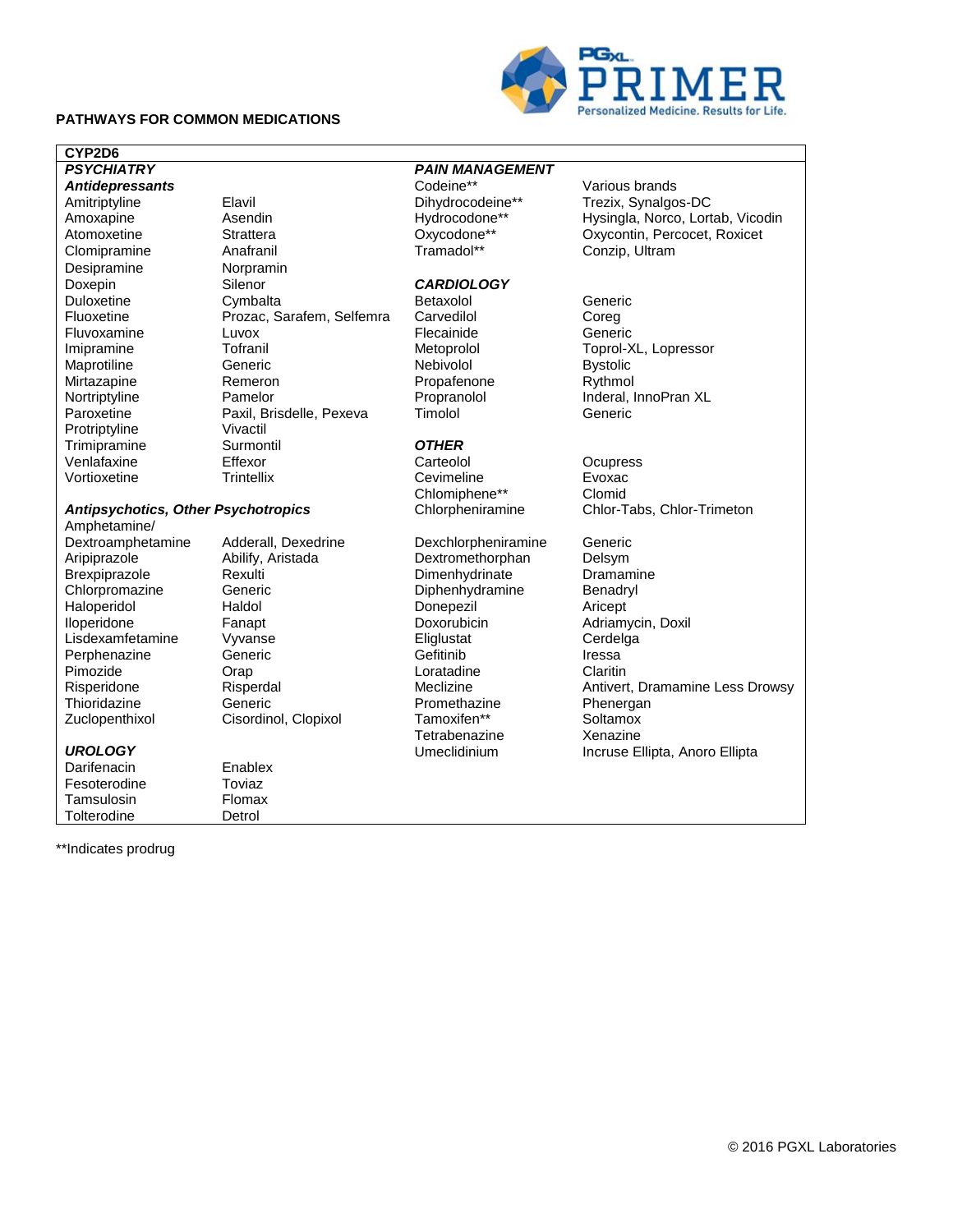#### **PATHWAYS FOR COMMON MEDICATIONS**



# **CYP2D6**

Desipramine Norpramin<br>
Doxepin Silenor Protriptyline Vivactil<br>Trimipramine Surmontil Vortioxetine

# *Antidepressants* Codeine\*\* Various brands Amitriptyline **Elavil** Elavil **Dihydrocodeine\*\*** Trezix, Synalgos-DC Clomipramine Anafranil Tramadol\*\* Conzip, Ultram Doxepin Silenor Silenor **CARDIOLOGY**<br>
Duloxetine Cymbalta **CARDIOLOGY** Duloxetine Cymbalta Betaxolol Generic<br>
Prozac, Sarafem, Selfemra Carvedilol Coreq Prozac, Sarafem, Selfemra Fluvoxamine Luvox Flecainide Generic Imipramine Tofranil Tofranil Metoprolol Toprol-XL, Lopressor Maprotiline Generic Rebivolol Bystolic Mirtazapine Remeron Propafenone Rythmol Nortriptyline Pamelor Pamelor Propranolol Inderal, InnoPran XL<br>
Paroxetine Paxil, Brisdelle, Pexeva Timolol Generic Paroxetine Paxil, Brisdelle, Pexeva Timolol Generic Trimipramine Surmontil *OTHER* Venlafaxine Effexor Carteolol Ocupress

#### *Antipsychotics, Other Psychotropics* Chlorpheniramine Chlor-Tabs, Chlor-Trimeton

Amphetamine/ Dextroamphetamine Adderall, Dexedrine Dexchlorpheniramine Generic Zuclopenthixol Cisordinol, Clopixol

Darifenacin **Enablex** Fesoterodine Toviaz Tamsulosin **Flomax** Tolterodine Detrol

#### **PAIN MANAGEMENT**

Chlomiphene\*\* Clomid

Aripiprazole Abilify, Aristada Dextromethorphan Delsym<br>Brexpiprazole Rexulti Dimenhydrinate Draman Rexulti Dimenhydrinate Dramamine Chlorpromazine Generic Diphenhydramine Benadryl Haloperidol **Haldol** Haldol Donepezil Aricept Iloperidone Fanapt **Fanapt** Doxorubicin Adriamycin, Doxil Lisdexamfetamine Vyvanse Eliglustat Cerdelga Perphenazine Generic Generic Gefitinib Iressa Pimozide **Orap Communists** Claritin Claritin Claritin Thioridazine Generic Promethazine Phenergan Tetrabenazine Xenazine

Amoxapine **Asendin** Asendin Hydrocodone\*\* Hysingla, Norco, Lortab, Vicodin Atomoxetine Strattera Strattera Coxycodone\*\* Oxycontin, Percocet, Roxicet<br>
Clomipramine Anafranil Tramadol\*\* Conzip. Ultram

Risperidone **Risperdal** Risperdal Meclizine **Antivert, Dramamine Less Drowsy UROLOGY Umeclidinium** Umeclidinium **Incruse Ellipta, Anoro Ellipta**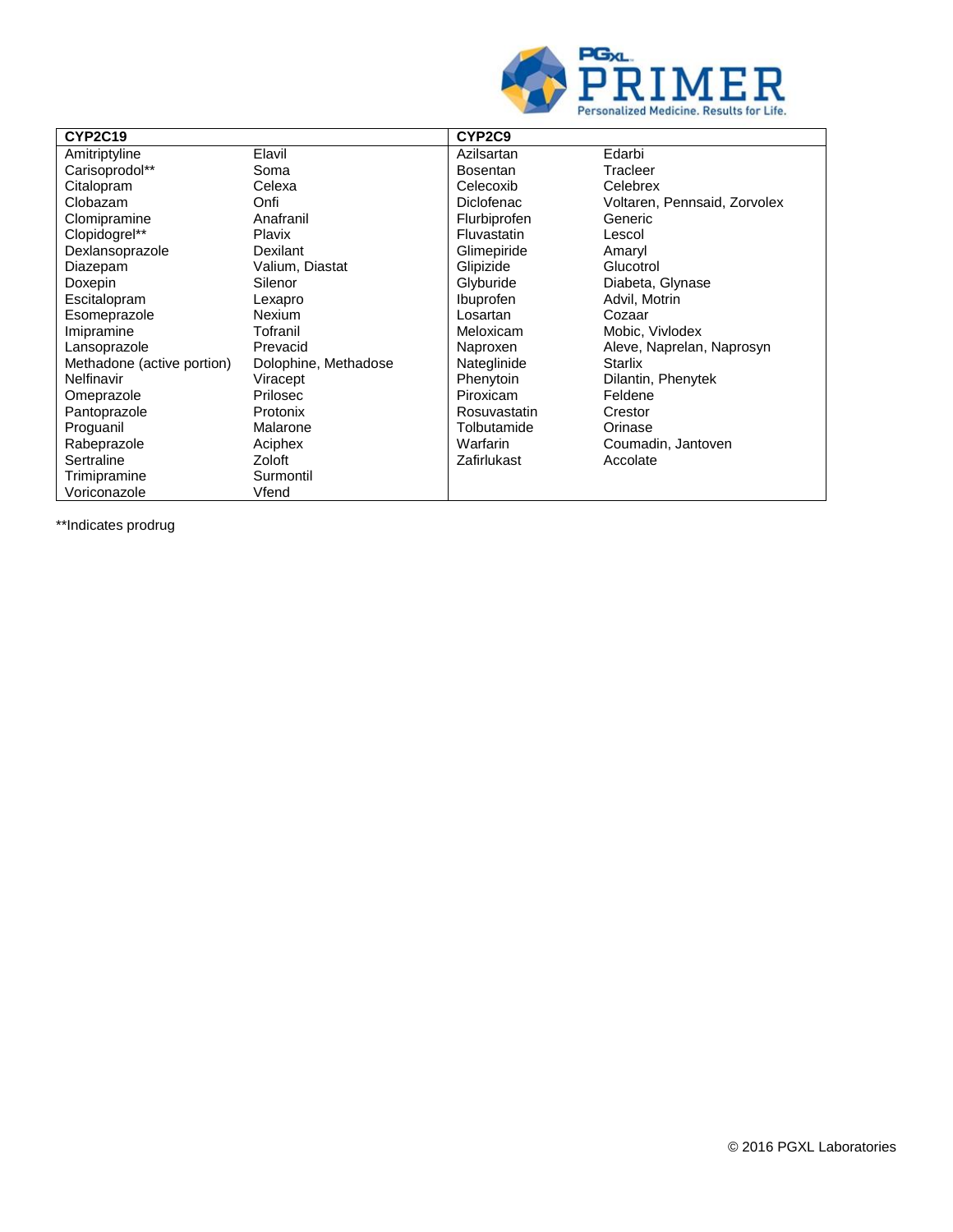

| <b>CYP2C19</b>             |                      | CYP2C9            |                              |
|----------------------------|----------------------|-------------------|------------------------------|
| Amitriptyline              | Elavil               | Azilsartan        | Edarbi                       |
| Carisoprodol**             | Soma                 | <b>Bosentan</b>   | Tracleer                     |
| Citalopram                 | Celexa               | Celecoxib         | Celebrex                     |
| Clobazam                   | Onfi                 | <b>Diclofenac</b> | Voltaren, Pennsaid, Zorvolex |
| Clomipramine               | Anafranil            | Flurbiprofen      | Generic                      |
| Clopidogrel**              | <b>Plavix</b>        | Fluvastatin       | Lescol                       |
| Dexlansoprazole            | Dexilant             | Glimepiride       | Amaryl                       |
| Diazepam                   | Valium, Diastat      | Glipizide         | Glucotrol                    |
| Doxepin                    | Silenor              | Glyburide         | Diabeta, Glynase             |
| Escitalopram               | Lexapro              | Ibuprofen         | Advil, Motrin                |
| Esomeprazole               | Nexium               | Losartan          | Cozaar                       |
| Imipramine                 | Tofranil             | Meloxicam         | Mobic, Vivlodex              |
| Lansoprazole               | Prevacid             | Naproxen          | Aleve, Naprelan, Naprosyn    |
| Methadone (active portion) | Dolophine, Methadose | Nateglinide       | <b>Starlix</b>               |
| Nelfinavir                 | Viracept             | Phenytoin         | Dilantin, Phenytek           |
| Omeprazole                 | Prilosec             | Piroxicam         | Feldene                      |
| Pantoprazole               | Protonix             | Rosuvastatin      | Crestor                      |
| Proguanil                  | Malarone             | Tolbutamide       | Orinase                      |
| Rabeprazole                | Aciphex              | Warfarin          | Coumadin, Jantoven           |
| Sertraline                 | Zoloft               | Zafirlukast       | Accolate                     |
| Trimipramine               | Surmontil            |                   |                              |
| Voriconazole               | Vfend                |                   |                              |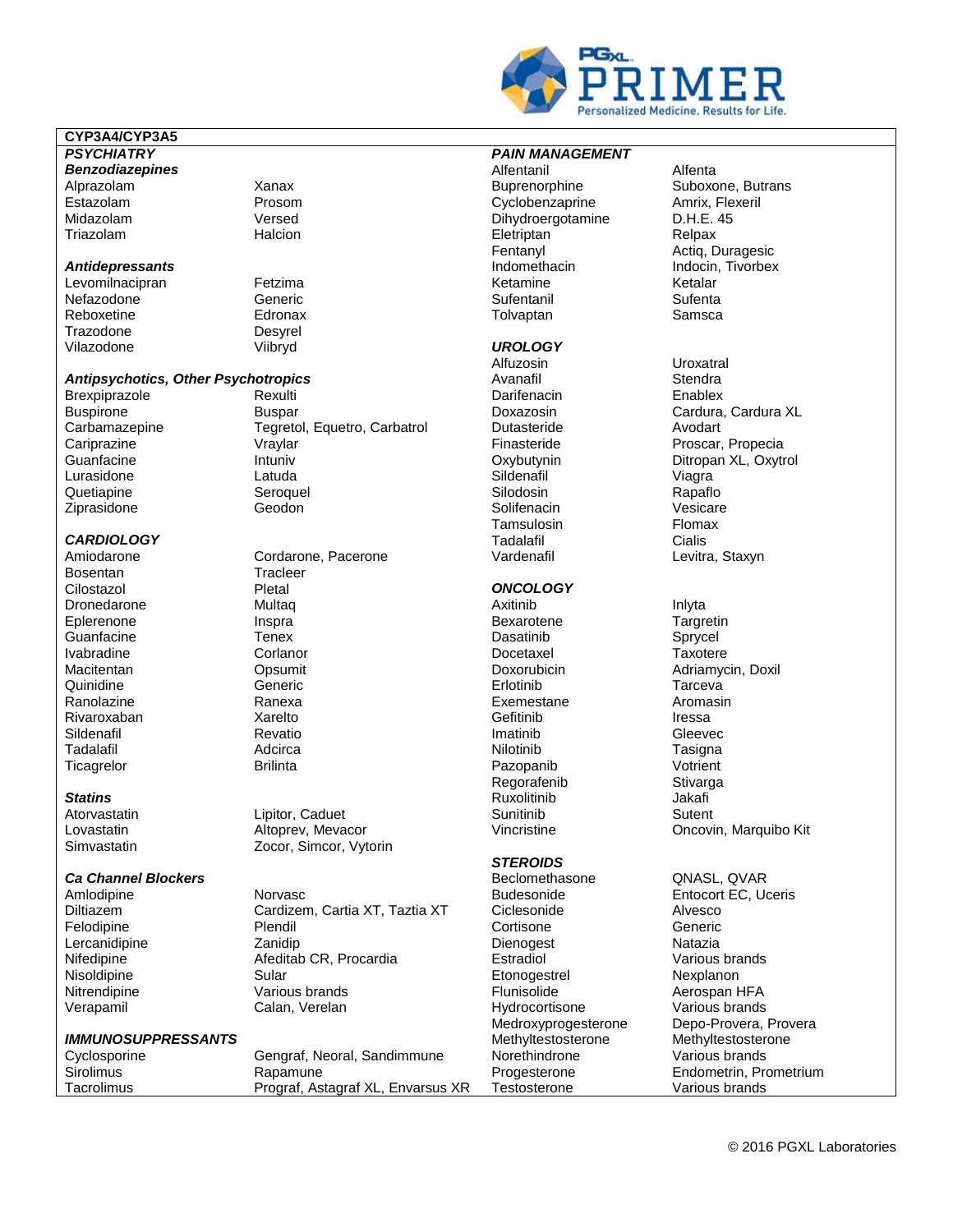### CYP3A4/CYP3A5

#### **PSYCHIATRY Benzodiazepines**

Alprazolam Estazolam Midazolam Triazolam

#### **Antidepressants**

Levomilnacipran Nefazodone Reboxetine Trazodone Vilazodone

Prosom Versed Halcion

Xanax

Desyrel Viibryd

#### **Antipsychotics, Other Psychotropics**

Brexpiprazole **Buspirone** Carbamazepine Cariprazine Guanfacine Lurasidone Quetiapine Ziprasidone

### **CARDIOLOGY**

Amiodarone **Bosentan** Cilostazol Dronedarone Eplerenone Guanfacine Ivabradine Macitentan Quinidine Ranolazine Rivaroxaban Sildenafil Tadalafil Ticagrelor

#### **Statins**

Atorvastatin Lovastatin Simvastatin

#### **Ca Channel Blockers**

Amlodipine **Diltiazem** Felodipine Verapamil

Lercanidipine Nifedipine Nisoldipine Nitrendipine

**IMMUNOSUPPRESSANTS** 

Cyclosporine Sirolimus Tacrolimus

Fetzima Generic Edronax

Rexulti **Buspar** Tegretol, Equetro, Carbatrol Vraylar Intuniv Latuda Seroguel Geodon

Cordarone, Pacerone Tracleer Pletal Multag Inspra Tenex Corlanor Opsumit Generic Ranexa Xarelto Revatio Adcirca **Brilinta** 

Lipitor, Caduet Altoprev, Mevacor Zocor, Simcor, Vytorin

**Norvasc** Cardizem, Cartia XT, Taztia XT Plendil Zanidip Afeditab CR, Procardia Sular Various brands Calan, Verelan

Gengraf, Neoral, Sandimmune

Prograf, Astagraf XL, Envarsus XR

Rapamune

# **PAIN MANAGEMENT**

Alfentanil **Buprenorphine** Cyclobenzaprine Dihydroergotamine Eletriptan Fentanyl Indomethacin Ketamine Sufentanil Tolvaptan

#### **UROLOGY**

Alfuzosin Avanafil Darifenacin Doxazosin Dutasteride Finasteride Oxybutynin Sildenafil **Silodosin** Solifenacin Tamsulosin Tadalafil Vardenafil

### **ONCOLOGY**

Axitinib Bexarotene Dasatinib Docetaxel **Doxorubicin** Erlotinib Exemestane Gefitinib Imatinib Nilotinib Pazopanib Regorafenib **Ruxolitinib** Sunitinib Vincristine

#### **STEROIDS**

Beclomethasone **Budesonide** Ciclesonide Cortisone Dienogest Estradiol Etonogestrel Flunisolide Hvdrocortisone Medroxyprogesterone Methyltestosterone Norethindrone Progesterone Testosterone

Alfenta Suboxone, Butrans Amrix, Flexeril D.H.E. 45 Relpax Actiq, Duragesic Indocin, Tivorbex Ketalar Sufenta Samsca

Uroxatral Stendra Enablex Cardura, Cardura XL Avodart Proscar, Propecia Ditropan XL, Oxytrol Viagra Rapaflo Vesicare Flomax Cialis Levitra, Staxyn

Inlyta Targretin Sprvcel Taxotere Adriamycin, Doxil Tarceva Aromasin Iressa Gleevec Tasigna Votrient Stivarga **Jakafi** Sutent Oncovin, Marquibo Kit

**ONASL, QVAR** Entocort EC. Uceris Alvesco Generic Natazia Various brands Nexplanon Aerospan HFA Various brands Depo-Provera, Provera Methyltestosterone Various brands Endometrin, Prometrium Various brands

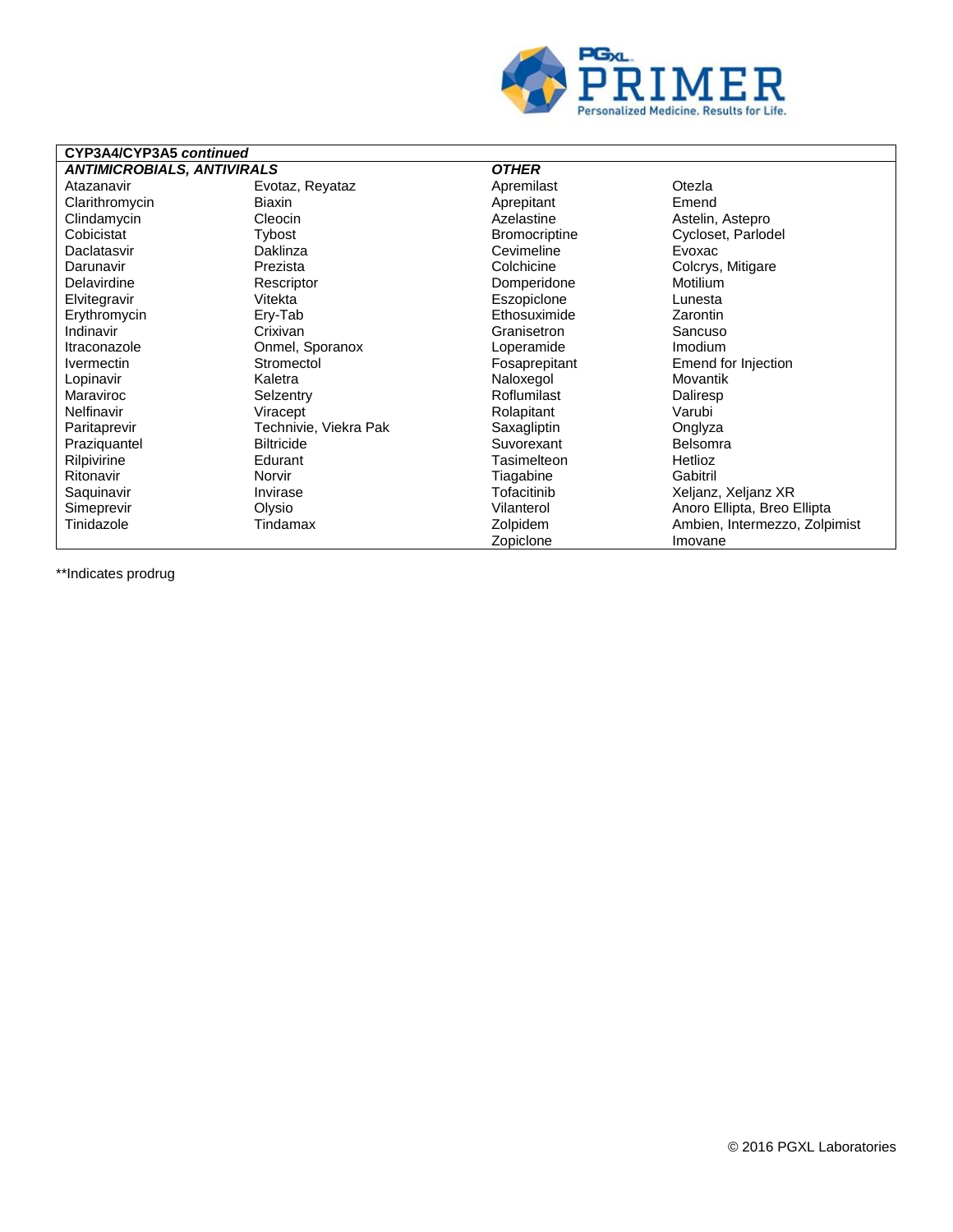

| CYP3A4/CYP3A5 continued           |                       |                      |                               |  |  |
|-----------------------------------|-----------------------|----------------------|-------------------------------|--|--|
| <b>ANTIMICROBIALS, ANTIVIRALS</b> |                       | <b>OTHER</b>         |                               |  |  |
| Atazanavir                        | Evotaz, Reyataz       | Apremilast           | Otezla                        |  |  |
| Clarithromycin                    | Biaxin                | Aprepitant           | Emend                         |  |  |
| Clindamycin                       | Cleocin               | Azelastine           | Astelin, Astepro              |  |  |
| Cobicistat                        | Tybost                | <b>Bromocriptine</b> | Cycloset, Parlodel            |  |  |
| Daclatasvir                       | Daklinza              | Cevimeline           | Evoxac                        |  |  |
| Darunavir                         | Prezista              | Colchicine           | Colcrys, Mitigare             |  |  |
| Delavirdine                       | Rescriptor            | Domperidone          | Motilium                      |  |  |
| Elvitegravir                      | Vitekta               | Eszopiclone          | Lunesta                       |  |  |
| Erythromycin                      | Ery-Tab               | Ethosuximide         | Zarontin                      |  |  |
| <b>Indinavir</b>                  | Crixivan              | Granisetron          | Sancuso                       |  |  |
| Itraconazole                      | Onmel, Sporanox       | Loperamide           | <b>Imodium</b>                |  |  |
| <i><u><b>Ivermectin</b></u></i>   | Stromectol            | Fosaprepitant        | Emend for Injection           |  |  |
| Lopinavir                         | Kaletra               | Naloxegol            | Movantik                      |  |  |
| Maraviroc                         | Selzentry             | Roflumilast          | Daliresp                      |  |  |
| Nelfinavir                        | Viracept              | Rolapitant           | Varubi                        |  |  |
| Paritaprevir                      | Technivie, Viekra Pak | Saxagliptin          | Onglyza                       |  |  |
| Praziquantel                      | <b>Biltricide</b>     | Suvorexant           | <b>Belsomra</b>               |  |  |
| Rilpivirine                       | Edurant               | Tasimelteon          | <b>Hetlioz</b>                |  |  |
| Ritonavir                         | Norvir                | Tiagabine            | Gabitril                      |  |  |
| Saquinavir                        | Invirase              | Tofacitinib          | Xeljanz, Xeljanz XR           |  |  |
| Simeprevir                        | Olysio                | Vilanterol           | Anoro Ellipta, Breo Ellipta   |  |  |
| Tinidazole                        | Tindamax              | Zolpidem             | Ambien, Intermezzo, Zolpimist |  |  |
|                                   |                       | <b>Zoniclone</b>     | Imovane                       |  |  |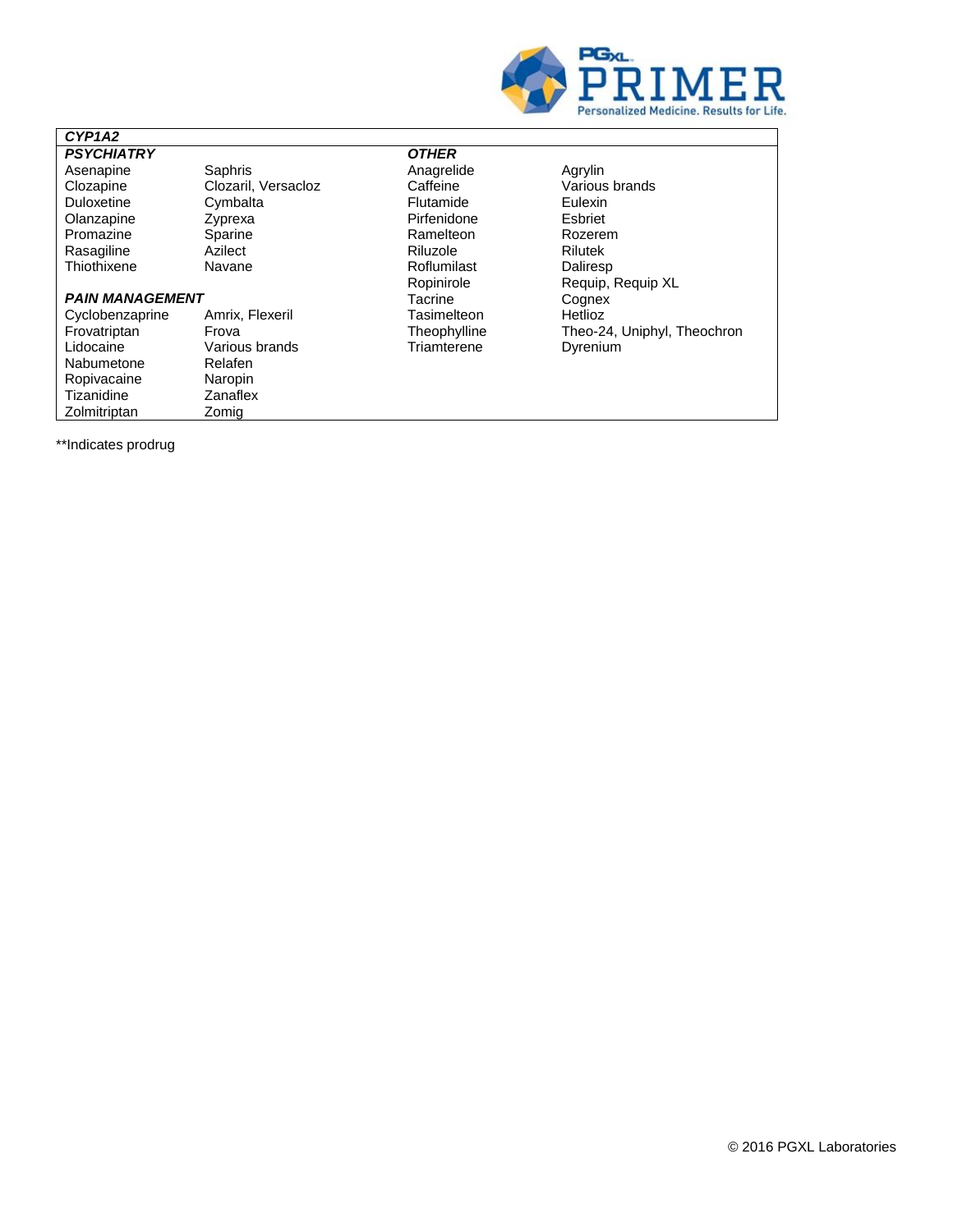

| CYP <sub>1</sub> A <sub>2</sub> |                     |              |                             |
|---------------------------------|---------------------|--------------|-----------------------------|
| <b>PSYCHIATRY</b>               |                     | <b>OTHER</b> |                             |
| Asenapine                       | Saphris             | Anagrelide   | Agrylin                     |
| Clozapine                       | Clozaril, Versacloz | Caffeine     | Various brands              |
| Duloxetine                      | Cymbalta            | Flutamide    | Eulexin                     |
| Olanzapine                      | Zyprexa             | Pirfenidone  | Esbriet                     |
| Promazine                       | Sparine             | Ramelteon    | Rozerem                     |
| Rasagiline                      | Azilect             | Riluzole     | <b>Rilutek</b>              |
| Thiothixene                     | Navane              | Roflumilast  | Daliresp                    |
|                                 |                     | Ropinirole   | Reguip, Reguip XL           |
| <b>PAIN MANAGEMENT</b>          |                     | Tacrine      | Cognex                      |
| Cyclobenzaprine                 | Amrix, Flexeril     | Tasimelteon  | Hetlioz                     |
| Frovatriptan                    | Frova               | Theophylline | Theo-24, Uniphyl, Theochron |
| Lidocaine                       | Various brands      | Triamterene  | Dyrenium                    |
| Nabumetone                      | Relafen             |              |                             |
| Ropivacaine                     | Naropin             |              |                             |
| Tizanidine                      | Zanaflex            |              |                             |
| Zolmitriptan                    | Zomig               |              |                             |